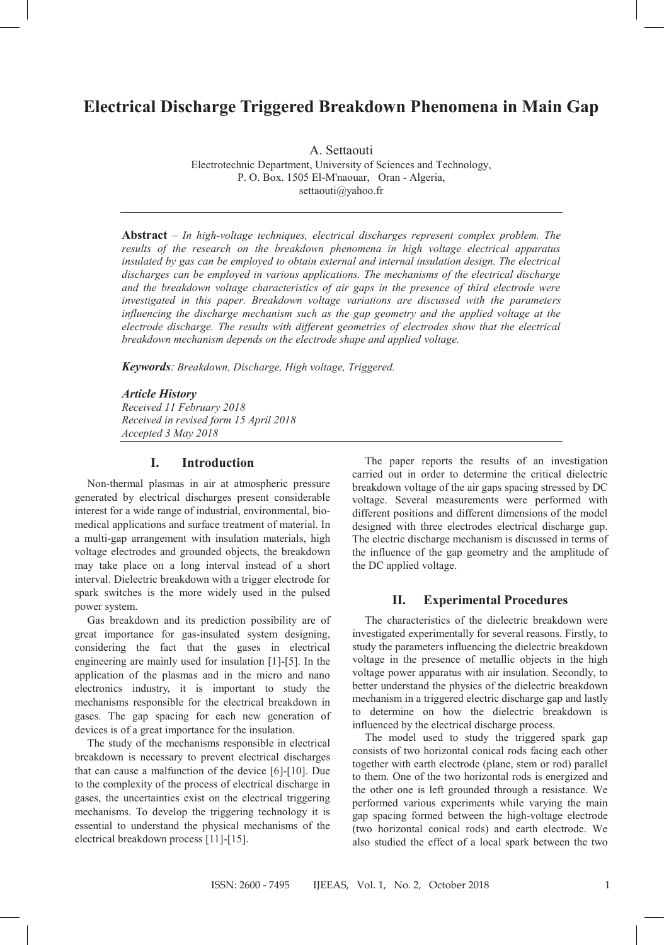# **Electrical Discharge Triggered Breakdown Phenomena in Main Gap**

A. Settaouti Electrotechnic Department, University of Sciences and Technology, P. O. Box. 1505 El-M'naouar, Oran - Algeria, settaouti@yahoo.fr

**Abstract** – *In high-voltage techniques, electrical discharges represent complex problem. The results of the research on the breakdown phenomena in high voltage electrical apparatus insulated by gas can be employed to obtain external and internal insulation design. The electrical discharges can be employed in various applications. The mechanisms of the electrical discharge and the breakdown voltage characteristics of air gaps in the presence of third electrode were investigated in this paper. Breakdown voltage variations are discussed with the parameters influencing the discharge mechanism such as the gap geometry and the applied voltage at the electrode discharge. The results with different geometries of electrodes show that the electrical breakdown mechanism depends on the electrode shape and applied voltage.*

*Keywords: Breakdown, Discharge, High voltage, Triggered.*

*Article History Received 11 February 2018 Received in revised form 15 April 2018 Accepted 3 May 2018*

## **I. Introduction**

Non-thermal plasmas in air at atmospheric pressure generated by electrical discharges present considerable interest for a wide range of industrial, environmental, biomedical applications and surface treatment of material. In a multi-gap arrangement with insulation materials, high voltage electrodes and grounded objects, the breakdown may take place on a long interval instead of a short interval. Dielectric breakdown with a trigger electrode for spark switches is the more widely used in the pulsed power system.

Gas breakdown and its prediction possibility are of great importance for gas-insulated system designing, considering the fact that the gases in electrical engineering are mainly used for insulation [1]-[5]. In the application of the plasmas and in the micro and nano electronics industry, it is important to study the mechanisms responsible for the electrical breakdown in gases. The gap spacing for each new generation of devices is of a great importance for the insulation.

The study of the mechanisms responsible in electrical breakdown is necessary to prevent electrical discharges that can cause a malfunction of the device [6]-[10]. Due to the complexity of the process of electrical discharge in gases, the uncertainties exist on the electrical triggering mechanisms. To develop the triggering technology it is essential to understand the physical mechanisms of the electrical breakdown process [11]-[15].

The paper reports the results of an investigation carried out in order to determine the critical dielectric breakdown voltage of the air gaps spacing stressed by DC voltage. Several measurements were performed with different positions and different dimensions of the model designed with three electrodes electrical discharge gap. The electric discharge mechanism is discussed in terms of the influence of the gap geometry and the amplitude of the DC applied voltage.

### **II. Experimental Procedures**

The characteristics of the dielectric breakdown were investigated experimentally for several reasons. Firstly, to study the parameters influencing the dielectric breakdown voltage in the presence of metallic objects in the high voltage power apparatus with air insulation. Secondly, to better understand the physics of the dielectric breakdown mechanism in a triggered electric discharge gap and lastly to determine on how the dielectric breakdown is influenced by the electrical discharge process.

The model used to study the triggered spark gap consists of two horizontal conical rods facing each other together with earth electrode (plane, stem or rod) parallel to them. One of the two horizontal rods is energized and the other one is left grounded through a resistance. We performed various experiments while varying the main gap spacing formed between the high-voltage electrode (two horizontal conical rods) and earth electrode. We also studied the effect of a local spark between the two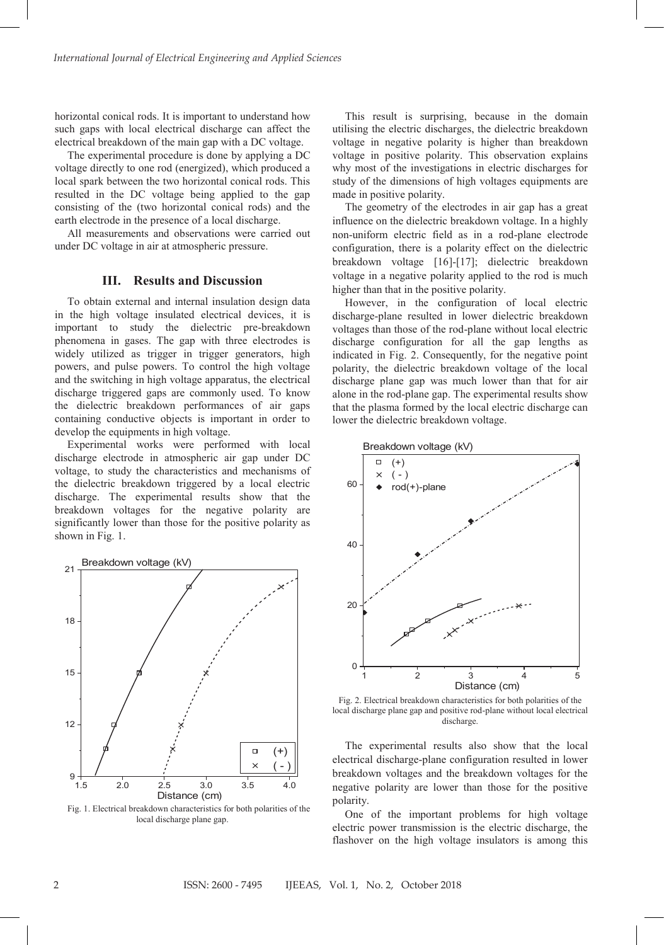horizontal conical rods. It is important to understand how such gaps with local electrical discharge can affect the electrical breakdown of the main gap with a DC voltage.

The experimental procedure is done by applying a DC voltage directly to one rod (energized), which produced a local spark between the two horizontal conical rods. This resulted in the DC voltage being applied to the gap consisting of the (two horizontal conical rods) and the earth electrode in the presence of a local discharge.

All measurements and observations were carried out under DC voltage in air at atmospheric pressure.

# **III. Results and Discussion**

To obtain external and internal insulation design data in the high voltage insulated electrical devices, it is important to study the dielectric pre-breakdown phenomena in gases. The gap with three electrodes is widely utilized as trigger in trigger generators, high powers, and pulse powers. To control the high voltage and the switching in high voltage apparatus, the electrical discharge triggered gaps are commonly used. To know the dielectric breakdown performances of air gaps containing conductive objects is important in order to develop the equipments in high voltage.

Experimental works were performed with local discharge electrode in atmospheric air gap under DC voltage, to study the characteristics and mechanisms of the dielectric breakdown triggered by a local electric discharge. The experimental results show that the breakdown voltages for the negative polarity are significantly lower than those for the positive polarity as shown in Fig. 1.



Fig. 1. Electrical breakdown characteristics for both polarities of the local discharge plane gap.

This result is surprising, because in the domain utilising the electric discharges, the dielectric breakdown voltage in negative polarity is higher than breakdown voltage in positive polarity. This observation explains why most of the investigations in electric discharges for study of the dimensions of high voltages equipments are made in positive polarity.

The geometry of the electrodes in air gap has a great influence on the dielectric breakdown voltage. In a highly non-uniform electric field as in a rod-plane electrode configuration, there is a polarity effect on the dielectric breakdown voltage [16]-[17]; dielectric breakdown voltage in a negative polarity applied to the rod is much higher than that in the positive polarity.

However, in the configuration of local electric discharge-plane resulted in lower dielectric breakdown voltages than those of the rod-plane without local electric discharge configuration for all the gap lengths as indicated in Fig. 2. Consequently, for the negative point polarity, the dielectric breakdown voltage of the local discharge plane gap was much lower than that for air alone in the rod-plane gap. The experimental results show that the plasma formed by the local electric discharge can lower the dielectric breakdown voltage.



Fig. 2. Electrical breakdown characteristics for both polarities of the local discharge plane gap and positive rod-plane without local electrical discharge.

The experimental results also show that the local electrical discharge-plane configuration resulted in lower breakdown voltages and the breakdown voltages for the negative polarity are lower than those for the positive polarity.

One of the important problems for high voltage electric power transmission is the electric discharge, the flashover on the high voltage insulators is among this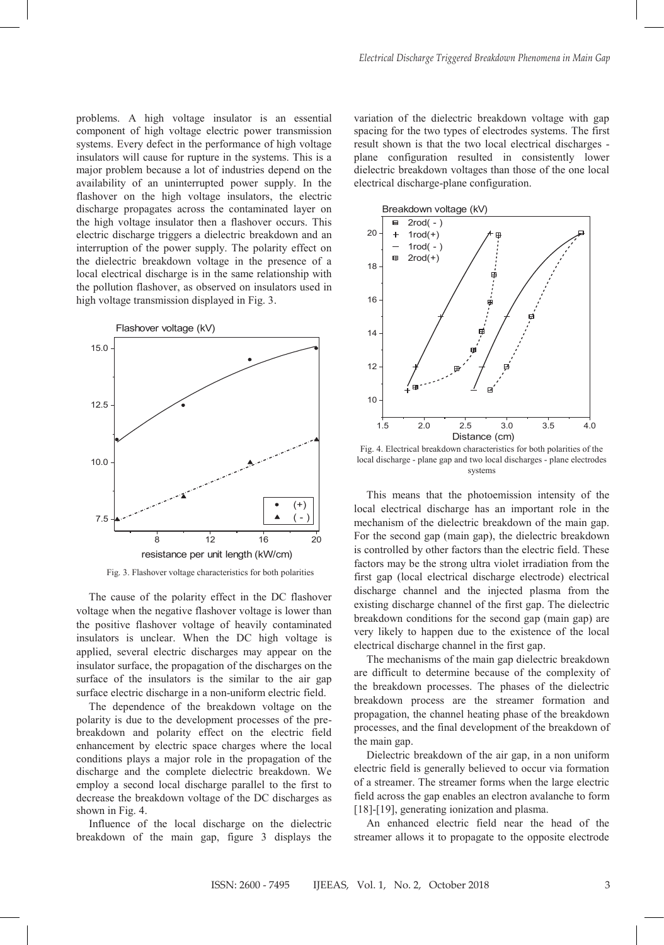problems. A high voltage insulator is an essential component of high voltage electric power transmission systems. Every defect in the performance of high voltage insulators will cause for rupture in the systems. This is a major problem because a lot of industries depend on the availability of an uninterrupted power supply. In the flashover on the high voltage insulators, the electric discharge propagates across the contaminated layer on the high voltage insulator then a flashover occurs. This electric discharge triggers a dielectric breakdown and an interruption of the power supply. The polarity effect on the dielectric breakdown voltage in the presence of a local electrical discharge is in the same relationship with the pollution flashover, as observed on insulators used in high voltage transmission displayed in Fig. 3.



Fig. 3. Flashover voltage characteristics for both polarities

The cause of the polarity effect in the DC flashover voltage when the negative flashover voltage is lower than the positive flashover voltage of heavily contaminated insulators is unclear. When the DC high voltage is applied, several electric discharges may appear on the insulator surface, the propagation of the discharges on the surface of the insulators is the similar to the air gap surface electric discharge in a non-uniform electric field.

The dependence of the breakdown voltage on the polarity is due to the development processes of the prebreakdown and polarity effect on the electric field enhancement by electric space charges where the local conditions plays a major role in the propagation of the discharge and the complete dielectric breakdown. We employ a second local discharge parallel to the first to decrease the breakdown voltage of the DC discharges as shown in Fig. 4.

Influence of the local discharge on the dielectric breakdown of the main gap, figure 3 displays the variation of the dielectric breakdown voltage with gap spacing for the two types of electrodes systems. The first result shown is that the two local electrical discharges plane configuration resulted in consistently lower dielectric breakdown voltages than those of the one local electrical discharge-plane configuration.



Fig. 4. Electrical breakdown characteristics for both polarities of the local discharge - plane gap and two local discharges - plane electrodes systems

This means that the photoemission intensity of the local electrical discharge has an important role in the mechanism of the dielectric breakdown of the main gap. For the second gap (main gap), the dielectric breakdown is controlled by other factors than the electric field. These factors may be the strong ultra violet irradiation from the first gap (local electrical discharge electrode) electrical discharge channel and the injected plasma from the existing discharge channel of the first gap. The dielectric breakdown conditions for the second gap (main gap) are very likely to happen due to the existence of the local electrical discharge channel in the first gap.

The mechanisms of the main gap dielectric breakdown are difficult to determine because of the complexity of the breakdown processes. The phases of the dielectric breakdown process are the streamer formation and propagation, the channel heating phase of the breakdown processes, and the final development of the breakdown of the main gap.

Dielectric breakdown of the air gap, in a non uniform electric field is generally believed to occur via formation of a streamer. The streamer forms when the large electric field across the gap enables an electron avalanche to form [18]-[19], generating ionization and plasma.

An enhanced electric field near the head of the streamer allows it to propagate to the opposite electrode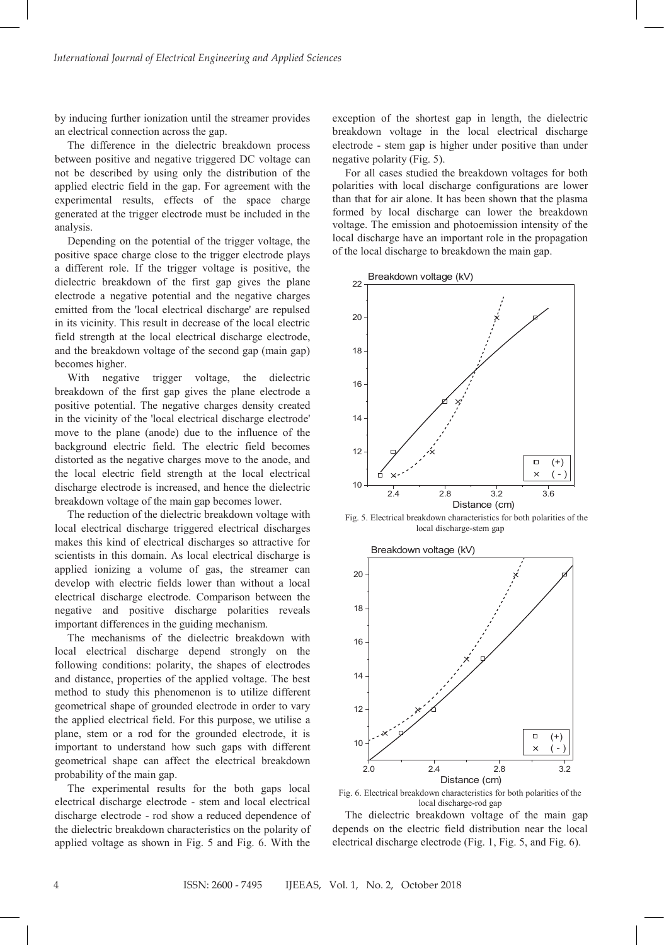by inducing further ionization until the streamer provides an electrical connection across the gap.

The difference in the dielectric breakdown process between positive and negative triggered DC voltage can not be described by using only the distribution of the applied electric field in the gap. For agreement with the experimental results, effects of the space charge generated at the trigger electrode must be included in the analysis.

Depending on the potential of the trigger voltage, the positive space charge close to the trigger electrode plays a different role. If the trigger voltage is positive, the dielectric breakdown of the first gap gives the plane electrode a negative potential and the negative charges emitted from the 'local electrical discharge' are repulsed in its vicinity. This result in decrease of the local electric field strength at the local electrical discharge electrode, and the breakdown voltage of the second gap (main gap) becomes higher.

With negative trigger voltage, the dielectric breakdown of the first gap gives the plane electrode a positive potential. The negative charges density created in the vicinity of the 'local electrical discharge electrode' move to the plane (anode) due to the influence of the background electric field. The electric field becomes distorted as the negative charges move to the anode, and the local electric field strength at the local electrical discharge electrode is increased, and hence the dielectric breakdown voltage of the main gap becomes lower.

The reduction of the dielectric breakdown voltage with local electrical discharge triggered electrical discharges makes this kind of electrical discharges so attractive for scientists in this domain. As local electrical discharge is applied ionizing a volume of gas, the streamer can develop with electric fields lower than without a local electrical discharge electrode. Comparison between the negative and positive discharge polarities reveals important differences in the guiding mechanism.

The mechanisms of the dielectric breakdown with local electrical discharge depend strongly on the following conditions: polarity, the shapes of electrodes and distance, properties of the applied voltage. The best method to study this phenomenon is to utilize different geometrical shape of grounded electrode in order to vary the applied electrical field. For this purpose, we utilise a plane, stem or a rod for the grounded electrode, it is important to understand how such gaps with different geometrical shape can affect the electrical breakdown probability of the main gap.

The experimental results for the both gaps local electrical discharge electrode - stem and local electrical discharge electrode - rod show a reduced dependence of the dielectric breakdown characteristics on the polarity of applied voltage as shown in Fig. 5 and Fig. 6. With the

exception of the shortest gap in length, the dielectric breakdown voltage in the local electrical discharge electrode - stem gap is higher under positive than under negative polarity (Fig. 5).

For all cases studied the breakdown voltages for both polarities with local discharge configurations are lower than that for air alone. It has been shown that the plasma formed by local discharge can lower the breakdown voltage. The emission and photoemission intensity of the local discharge have an important role in the propagation of the local discharge to breakdown the main gap.



Fig. 5. Electrical breakdown characteristics for both polarities of the local discharge-stem gap



Fig. 6. Electrical breakdown characteristics for both polarities of the local discharge-rod gap

The dielectric breakdown voltage of the main gap depends on the electric field distribution near the local electrical discharge electrode (Fig. 1, Fig. 5, and Fig. 6).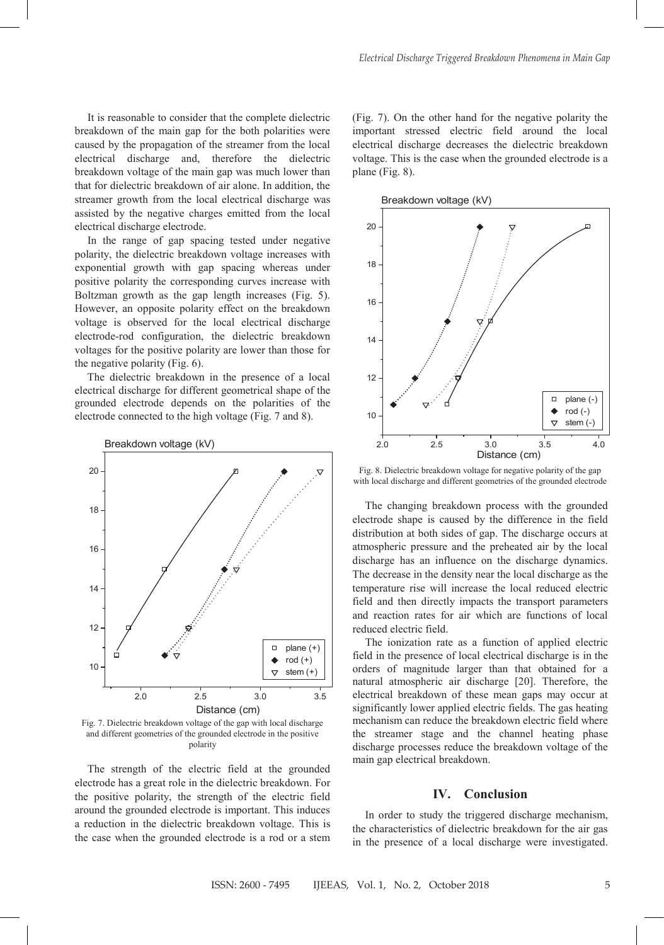It is reasonable to consider that the complete dielectric breakdown of the main gap for the both polarities were caused by the propagation of the streamer from the local electrical discharge and, therefore the dielectric breakdown voltage of the main gap was much lower than that for dielectric breakdown of air alone. In addition, the streamer growth from the local electrical discharge was assisted by the negative charges emitted from the local electrical discharge electrode.

In the range of gap spacing tested under negative polarity, the dielectric breakdown voltage increases with exponential growth with gap spacing whereas under positive polarity the corresponding curves increase with Boltzman growth as the gap length increases (Fig. 5). However, an opposite polarity effect on the breakdown voltage is observed for the local electrical discharge electrode-rod configuration, the dielectric breakdown voltages for the positive polarity are lower than those for the negative polarity (Fig. 6).

The dielectric breakdown in the presence of a local electrical discharge for different geometrical shape of the grounded electrode depends on the polarities of the electrode connected to the high voltage (Fig. 7 and 8).



Fig. 7. Dielectric breakdown voltage of the gap with local discharge and different geometries of the grounded electrode in the positive polarity

The strength of the electric field at the grounded electrode has a great role in the dielectric breakdown. For the positive polarity, the strength of the electric field around the grounded electrode is important. This induces a reduction in the dielectric breakdown voltage. This is the case when the grounded electrode is a rod or a stem (Fig. 7). On the other hand for the negative polarity the important stressed electric field around the local electrical discharge decreases the dielectric breakdown voltage. This is the case when the grounded electrode is a plane (Fig. 8).



Fig. 8. Dielectric breakdown voltage for negative polarity of the gap with local discharge and different geometries of the grounded electrode

The changing breakdown process with the grounded electrode shape is caused by the difference in the field distribution at both sides of gap. The discharge occurs at atmospheric pressure and the preheated air by the local discharge has an influence on the discharge dynamics. The decrease in the density near the local discharge as the temperature rise will increase the local reduced electric field and then directly impacts the transport parameters and reaction rates for air which are functions of local reduced electric field.

The ionization rate as a function of applied electric field in the presence of local electrical discharge is in the orders of magnitude larger than that obtained for a natural atmospheric air discharge [20]. Therefore, the electrical breakdown of these mean gaps may occur at significantly lower applied electric fields. The gas heating mechanism can reduce the breakdown electric field where the streamer stage and the channel heating phase discharge processes reduce the breakdown voltage of the main gap electrical breakdown.

### **IV. Conclusion**

In order to study the triggered discharge mechanism, the characteristics of dielectric breakdown for the air gas in the presence of a local discharge were investigated.